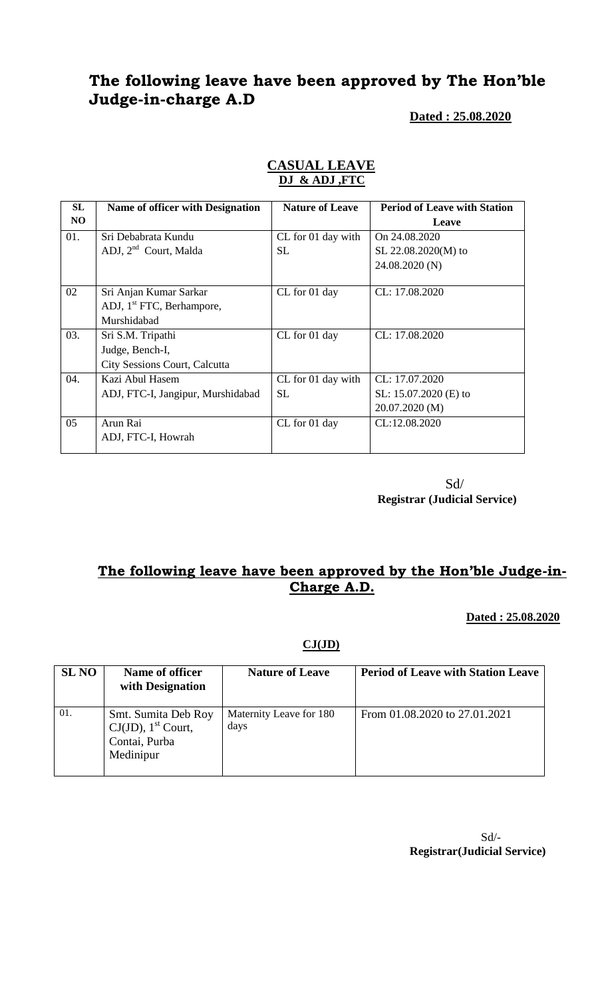# **The following leave have been approved by The Hon'ble Judge-in-charge A.D**

**Dated : 25.08.2020**

| SL  | Name of officer with Designation      | <b>Nature of Leave</b> | <b>Period of Leave with Station</b> |
|-----|---------------------------------------|------------------------|-------------------------------------|
| NO. |                                       |                        | Leave                               |
| 01. | Sri Debabrata Kundu                   | CL for 01 day with     | On 24.08.2020                       |
|     | ADJ, $2nd$ Court, Malda               | <b>SL</b>              | SL 22.08.2020(M) to                 |
|     |                                       |                        | 24.08.2020 (N)                      |
| 02  | Sri Anjan Kumar Sarkar                | CL for 01 day          | CL: 17.08.2020                      |
|     | ADJ, 1 <sup>st</sup> FTC, Berhampore, |                        |                                     |
|     | Murshidabad                           |                        |                                     |
| 03. | Sri S.M. Tripathi                     | CL for 01 day          | CL: 17.08.2020                      |
|     | Judge, Bench-I,                       |                        |                                     |
|     | City Sessions Court, Calcutta         |                        |                                     |
| 04. | Kazi Abul Hasem                       | CL for 01 day with     | CL: 17.07.2020                      |
|     | ADJ, FTC-I, Jangipur, Murshidabad     | <b>SL</b>              | SL: 15.07.2020 (E) to               |
|     |                                       |                        | 20.07.2020 (M)                      |
| 05  | Arun Rai                              | CL for 01 day          | CL:12.08.2020                       |
|     | ADJ, FTC-I, Howrah                    |                        |                                     |
|     |                                       |                        |                                     |

### **CASUAL LEAVE DJ & ADJ ,FTC**

Sd/ **Registrar (Judicial Service)**

## **The following leave have been approved by the Hon'ble Judge-in-Charge A.D.**

 **Dated : 25.08.2020**

#### **CJ(JD)**

| <b>SL NO</b> | Name of officer<br>with Designation                                                    | <b>Nature of Leave</b>          | <b>Period of Leave with Station Leave</b> |
|--------------|----------------------------------------------------------------------------------------|---------------------------------|-------------------------------------------|
| 01.          | Smt. Sumita Deb Roy<br>$CJ(JD)$ , 1 <sup>st</sup> Court,<br>Contai, Purba<br>Medinipur | Maternity Leave for 180<br>days | From 01.08.2020 to 27.01.2021             |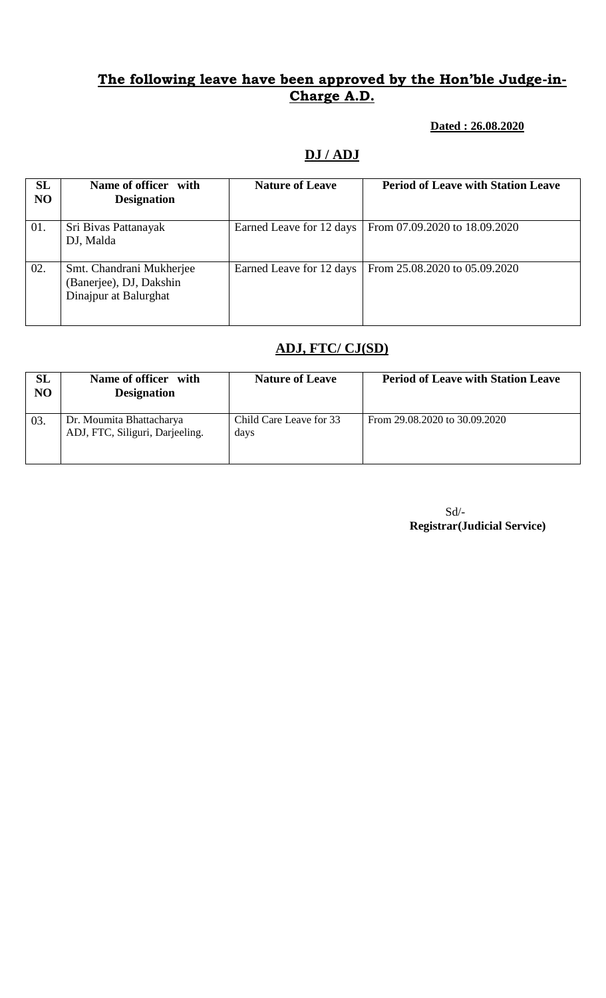### **The following leave have been approved by the Hon'ble Judge-in-Charge A.D.**

#### **Dated : 26.08.2020**

## **DJ / ADJ**

| SL<br>N <sub>O</sub> | Name of officer with<br><b>Designation</b>                                   | <b>Nature of Leave</b>   | <b>Period of Leave with Station Leave</b> |
|----------------------|------------------------------------------------------------------------------|--------------------------|-------------------------------------------|
| 01.                  | Sri Bivas Pattanayak<br>DJ, Malda                                            | Earned Leave for 12 days | From 07.09.2020 to 18.09.2020             |
| 02.                  | Smt. Chandrani Mukherjee<br>(Banerjee), DJ, Dakshin<br>Dinajpur at Balurghat | Earned Leave for 12 days | From 25.08.2020 to 05.09.2020             |

## **ADJ, FTC/ CJ(SD)**

| SL<br>N <sub>O</sub> | Name of officer with<br><b>Designation</b>                  | <b>Nature of Leave</b>          | <b>Period of Leave with Station Leave</b> |
|----------------------|-------------------------------------------------------------|---------------------------------|-------------------------------------------|
| 03.                  | Dr. Moumita Bhattacharya<br>ADJ, FTC, Siliguri, Darjeeling. | Child Care Leave for 33<br>days | From 29.08.2020 to 30.09.2020             |

Sd/- **Registrar(Judicial Service)**